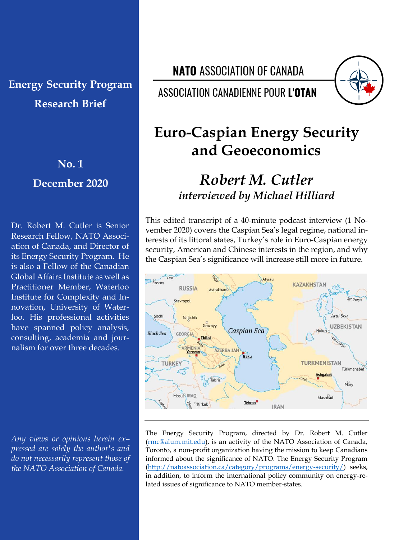# **Energy Security Program Research Brief**

**No. 1**

**December 2020**

Dr. Robert M. Cutler is Senior Research Fellow, NATO Association of Canada, and Director of its Energy Security Program. He is also a Fellow of the Canadian Global Affairs Institute as well as Practitioner Member, Waterloo Institute for Complexity and Innovation, University of Waterloo. His professional activities have spanned policy analysis, consulting, academia and journalism for over three decades.

*Any views or opinions herein ex– pressed are solely the author's and do not necessarily represent those of the NATO Association of Canada.*

**NATO ASSOCIATION OF CANADA** 

**ASSOCIATION CANADIENNE POUR L'OTAN** 



# **Euro-Caspian Energy Security and Geoeconomics**

## *Robert M. Cutler interviewed by Michael Hilliard*

This edited transcript of a 40-minute podcast interview (1 November 2020) covers the Caspian Sea's legal regime, national interests of its littoral states, Turkey's role in Euro-Caspian energy security, American and Chinese interests in the region, and why the Caspian Sea's significance will increase still more in future.



The Energy Security Program, directed by Dr. Robert M. Cutler [\(rmc@alum.mit.edu\)](mailto:rmc@alum.mit.edu?subject=NAOC%20Energy%20Security%20Program), is an activity of the NATO Association of Canada, Toronto, a non-profit organization having the mission to keep Canadians informed about the significance of NATO. The Energy Security Program [\(http://natoassociation.ca/category/programs/energy-security/\)](http://natoassociation.ca/category/programs/energy-security/) seeks, in addition, to inform the international policy community on energy-related issues of significance to NATO member-states.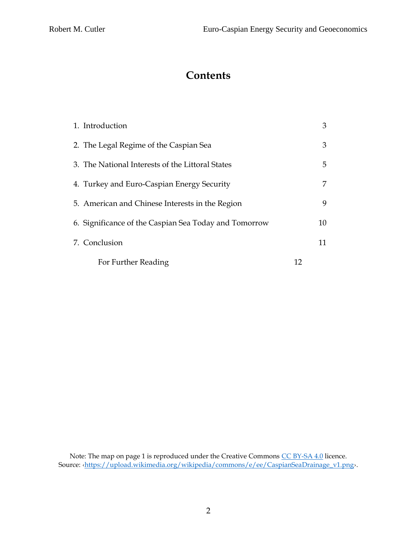### **Contents**

| 1. Introduction                                       |    | 3  |
|-------------------------------------------------------|----|----|
| 2. The Legal Regime of the Caspian Sea                |    | 3  |
| 3. The National Interests of the Littoral States      |    | 5  |
| 4. Turkey and Euro-Caspian Energy Security            |    | 7  |
| 5. American and Chinese Interests in the Region       |    | 9  |
| 6. Significance of the Caspian Sea Today and Tomorrow |    | 10 |
| 7. Conclusion                                         |    | 11 |
| For Further Reading                                   | 12 |    |

Note: The map on page 1 is reproduced under the Creative Commons [CC BY-SA 4.0](https://creativecommons.org/licenses/by-sa/4.0/deed.en) licence. Source: ‹[https://upload.wikimedia.org/wikipedia/commons/e/ee/CaspianSeaDrainage\\_v1.png](https://upload.wikimedia.org/wikipedia/commons/e/ee/CaspianSeaDrainage_v1.png)›.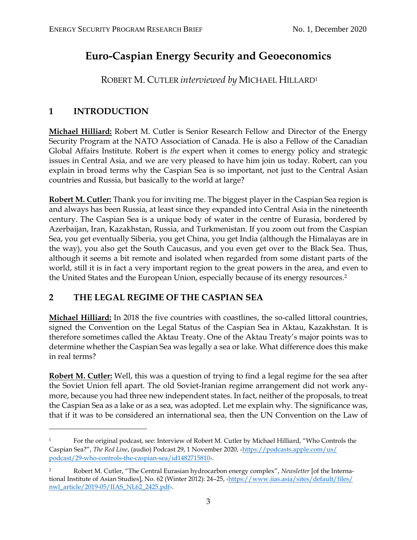### **Euro-Caspian Energy Security and Geoeconomics**

ROBERT M. CUTLER *interviewed by* MICHAEL HILLARD<sup>1</sup>

### **1 INTRODUCTION**

**Michael Hilliard:** Robert M. Cutler is Senior Research Fellow and Director of the Energy Security Program at the NATO Association of Canada. He is also a Fellow of the Canadian Global Affairs Institute. Robert is *the* expert when it comes to energy policy and strategic issues in Central Asia, and we are very pleased to have him join us today. Robert, can you explain in broad terms why the Caspian Sea is so important, not just to the Central Asian countries and Russia, but basically to the world at large?

**Robert M. Cutler:** Thank you for inviting me. The biggest player in the Caspian Sea region is and always has been Russia, at least since they expanded into Central Asia in the nineteenth century. The Caspian Sea is a unique body of water in the centre of Eurasia, bordered by Azerbaijan, Iran, Kazakhstan, Russia, and Turkmenistan. If you zoom out from the Caspian Sea, you get eventually Siberia, you get China, you get India (although the Himalayas are in the way), you also get the South Caucasus, and you even get over to the Black Sea. Thus, although it seems a bit remote and isolated when regarded from some distant parts of the world, still it is in fact a very important region to the great powers in the area, and even to the United States and the European Union, especially because of its energy resources.<sup>2</sup>

### **2 THE LEGAL REGIME OF THE CASPIAN SEA**

**Michael Hilliard:** In 2018 the five countries with coastlines, the so-called littoral countries, signed the Convention on the Legal Status of the Caspian Sea in Aktau, Kazakhstan. It is therefore sometimes called the Aktau Treaty. One of the Aktau Treaty's major points was to determine whether the Caspian Sea was legally a sea or lake. What difference does this make in real terms?

**Robert M. Cutler:** Well, this was a question of trying to find a legal regime for the sea after the Soviet Union fell apart. The old Soviet-Iranian regime arrangement did not work anymore, because you had three new independent states. In fact, neither of the proposals, to treat the Caspian Sea as a lake or as a sea, was adopted. Let me explain why. The significance was, that if it was to be considered an international sea, then the UN Convention on the Law of

<sup>&</sup>lt;sup>1</sup> For the original podcast, see: Interview of Robert M. Cutler by Michael Hilliard, "Who Controls the Caspian Sea?", *The Red Line*, (audio) Podcast 29, 1 November 2020, ‹[https://podcasts.apple.com/us/](https://podcasts.apple.com/us/podcast/29-who-controls-the-caspian-sea/id1482715810) [podcast/29-who-controls-the-caspian-sea/id1482715810](https://podcasts.apple.com/us/podcast/29-who-controls-the-caspian-sea/id1482715810)›.

<sup>2</sup> Robert M. Cutler, "The Central Eurasian hydrocarbon energy complex", *Newsletter* [of the International Institute of Asian Studies], No. 62 (Winter 2012): 24–25, ‹[https://www.iias.asia/sites/default/files/](https://www.iias.asia/sites/default/files/nwl_article/2019-05/IIAS_NL62_2425.pdf) [nwl\\_article/2019-05/IIAS\\_NL62\\_2425.pdf](https://www.iias.asia/sites/default/files/nwl_article/2019-05/IIAS_NL62_2425.pdf)›.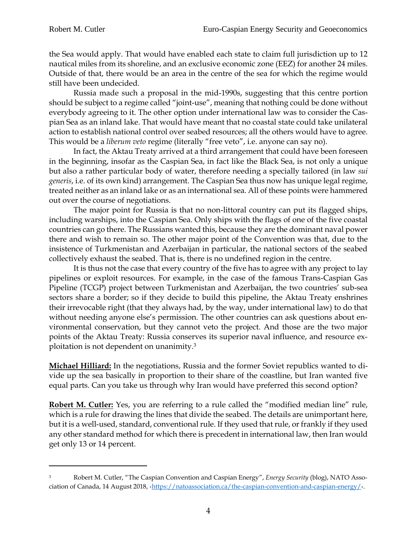the Sea would apply. That would have enabled each state to claim full jurisdiction up to 12 nautical miles from its shoreline, and an exclusive economic zone (EEZ) for another 24 miles. Outside of that, there would be an area in the centre of the sea for which the regime would still have been undecided.

Russia made such a proposal in the mid-1990s, suggesting that this centre portion should be subject to a regime called "joint-use", meaning that nothing could be done without everybody agreeing to it. The other option under international law was to consider the Caspian Sea as an inland lake. That would have meant that no coastal state could take unilateral action to establish national control over seabed resources; all the others would have to agree. This would be a *liberum veto* regime (literally "free veto", i.e. anyone can say no).

In fact, the Aktau Treaty arrived at a third arrangement that could have been foreseen in the beginning, insofar as the Caspian Sea, in fact like the Black Sea, is not only a unique but also a rather particular body of water, therefore needing a specially tailored (in law *sui generis*, i.e. of its own kind) arrangement. The Caspian Sea thus now has unique legal regime, treated neither as an inland lake or as an international sea. All of these points were hammered out over the course of negotiations.

The major point for Russia is that no non-littoral country can put its flagged ships, including warships, into the Caspian Sea. Only ships with the flags of one of the five coastal countries can go there. The Russians wanted this, because they are the dominant naval power there and wish to remain so. The other major point of the Convention was that, due to the insistence of Turkmenistan and Azerbaijan in particular, the national sectors of the seabed collectively exhaust the seabed. That is, there is no undefined region in the centre.

It is thus not the case that every country of the five has to agree with any project to lay pipelines or exploit resources. For example, in the case of the famous Trans-Caspian Gas Pipeline (TCGP) project between Turkmenistan and Azerbaijan, the two countries' sub-sea sectors share a border; so if they decide to build this pipeline, the Aktau Treaty enshrines their irrevocable right (that they always had, by the way, under international law) to do that without needing anyone else's permission. The other countries can ask questions about environmental conservation, but they cannot veto the project. And those are the two major points of the Aktau Treaty: Russia conserves its superior naval influence, and resource exploitation is not dependent on unanimity.<sup>3</sup>

**Michael Hilliard:** In the negotiations, Russia and the former Soviet republics wanted to divide up the sea basically in proportion to their share of the coastline, but Iran wanted five equal parts. Can you take us through why Iran would have preferred this second option?

**Robert M. Cutler:** Yes, you are referring to a rule called the "modified median line" rule, which is a rule for drawing the lines that divide the seabed. The details are unimportant here, but it is a well-used, standard, conventional rule. If they used that rule, or frankly if they used any other standard method for which there is precedent in international law, then Iran would get only 13 or 14 percent.

<sup>3</sup> Robert M. Cutler, "The Caspian Convention and Caspian Energy", *Energy Security* (blog), NATO Association of Canada, 14 August 2018, ‹<https://natoassociation.ca/the-caspian-convention-and-caspian-energy/>›.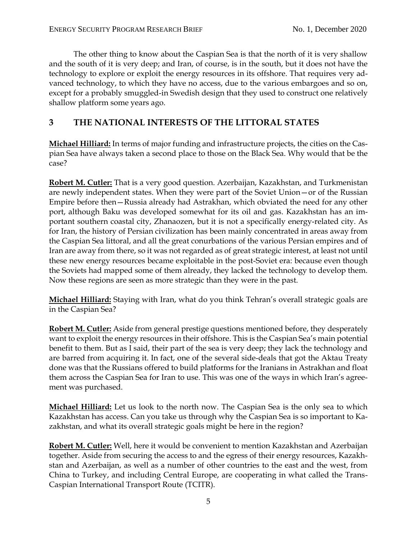The other thing to know about the Caspian Sea is that the north of it is very shallow and the south of it is very deep; and Iran, of course, is in the south, but it does not have the technology to explore or exploit the energy resources in its offshore. That requires very advanced technology, to which they have no access, due to the various embargoes and so on, except for a probably smuggled-in Swedish design that they used to construct one relatively shallow platform some years ago.

#### **3 THE NATIONAL INTERESTS OF THE LITTORAL STATES**

**Michael Hilliard:** In terms of major funding and infrastructure projects, the cities on the Caspian Sea have always taken a second place to those on the Black Sea. Why would that be the case?

**Robert M. Cutler:** That is a very good question. Azerbaijan, Kazakhstan, and Turkmenistan are newly independent states. When they were part of the Soviet Union—or of the Russian Empire before then—Russia already had Astrakhan, which obviated the need for any other port, although Baku was developed somewhat for its oil and gas. Kazakhstan has an important southern coastal city, Zhanaozen, but it is not a specifically energy-related city. As for Iran, the history of Persian civilization has been mainly concentrated in areas away from the Caspian Sea littoral, and all the great conurbations of the various Persian empires and of Iran are away from there, so it was not regarded as of great strategic interest, at least not until these new energy resources became exploitable in the post-Soviet era: because even though the Soviets had mapped some of them already, they lacked the technology to develop them. Now these regions are seen as more strategic than they were in the past.

**Michael Hilliard:** Staying with Iran, what do you think Tehran's overall strategic goals are in the Caspian Sea?

**Robert M. Cutler:** Aside from general prestige questions mentioned before, they desperately want to exploit the energy resources in their offshore. This is the Caspian Sea's main potential benefit to them. But as I said, their part of the sea is very deep; they lack the technology and are barred from acquiring it. In fact, one of the several side-deals that got the Aktau Treaty done was that the Russians offered to build platforms for the Iranians in Astrakhan and float them across the Caspian Sea for Iran to use. This was one of the ways in which Iran's agreement was purchased.

**Michael Hilliard:** Let us look to the north now. The Caspian Sea is the only sea to which Kazakhstan has access. Can you take us through why the Caspian Sea is so important to Kazakhstan, and what its overall strategic goals might be here in the region?

**Robert M. Cutler:** Well, here it would be convenient to mention Kazakhstan and Azerbaijan together. Aside from securing the access to and the egress of their energy resources, Kazakhstan and Azerbaijan, as well as a number of other countries to the east and the west, from China to Turkey, and including Central Europe, are cooperating in what called the Trans-Caspian International Transport Route (TCITR).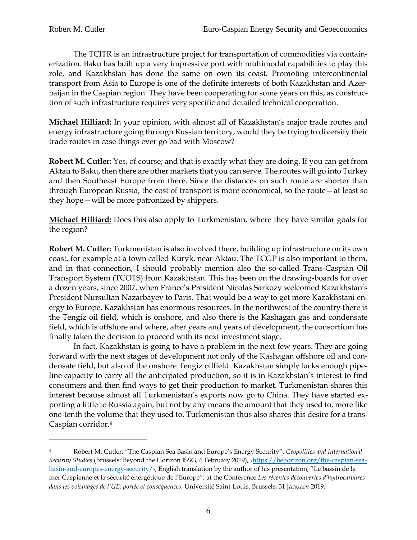The TCITR is an infrastructure project for transportation of commodities via containerization. Baku has built up a very impressive port with multimodal capabilities to play this role, and Kazakhstan has done the same on own its coast. Promoting intercontinental transport from Asia to Europe is one of the definite interests of both Kazakhstan and Azerbaijan in the Caspian region. They have been cooperating for some years on this, as construction of such infrastructure requires very specific and detailed technical cooperation.

**Michael Hilliard:** In your opinion, with almost all of Kazakhstan's major trade routes and energy infrastructure going through Russian territory, would they be trying to diversify their trade routes in case things ever go bad with Moscow?

**Robert M. Cutler:** Yes, of course; and that is exactly what they are doing. If you can get from Aktau to Baku, then there are other markets that you can serve. The routes will go into Turkey and then Southeast Europe from there. Since the distances on such route are shorter than through European Russia, the cost of transport is more economical, so the route—at least so they hope—will be more patronized by shippers.

**Michael Hilliard:** Does this also apply to Turkmenistan, where they have similar goals for the region?

**Robert M. Cutler:** Turkmenistan is also involved there, building up infrastructure on its own coast, for example at a town called Kuryk, near Aktau. The TCGP is also important to them, and in that connection, I should probably mention also the so-called Trans-Caspian Oil Transport System (TCOTS) from Kazakhstan. This has been on the drawing-boards for over a dozen years, since 2007, when France's President Nicolas Sarkozy welcomed Kazakhstan's President Nursultan Nazarbayev to Paris. That would be a way to get more Kazakhstani energy to Europe. Kazakhstan has enormous resources. In the northwest of the country there is the Tengiz oil field, which is onshore, and also there is the Kashagan gas and condensate field, which is offshore and where, after years and years of development, the consortium has finally taken the decision to proceed with its next investment stage.

In fact, Kazakhstan is going to have a problem in the next few years. They are going forward with the next stages of development not only of the Kashagan offshore oil and condensate field, but also of the onshore Tengiz oilfield. Kazakhstan simply lacks enough pipeline capacity to carry all the anticipated production, so it is in Kazakhstan's interest to find consumers and then find ways to get their production to market. Turkmenistan shares this interest because almost all Turkmenistan's exports now go to China. They have started exporting a little to Russia again, but not by any means the amount that they used to, more like one-tenth the volume that they used to. Turkmenistan thus also shares this desire for a trans-Caspian corridor.<sup>4</sup>

<sup>4</sup> Robert M. Cutler, "The Caspian Sea Basin and Europe's Energy Security", *Geopolitics and International Security Studies* (Brussels: Beyond the Horizon ISSG, 6 February 2019), ‹[https://behorizon.org/the-caspian-sea](https://behorizon.org/the-caspian-sea-basin-and-europes-energy-security/)[basin-and-europes-energy-security/](https://behorizon.org/the-caspian-sea-basin-and-europes-energy-security/)›, English translation by the author of his presentation, "Le bassin de la mer Caspienne et la sécurité énergétique de l'Europe", at the Conference *Les récentes découvertes d'hydrocarbures dans les voisinages de l'UE; portée et conséquences*, Université Saint-Louis, Brussels, 31 January 2019.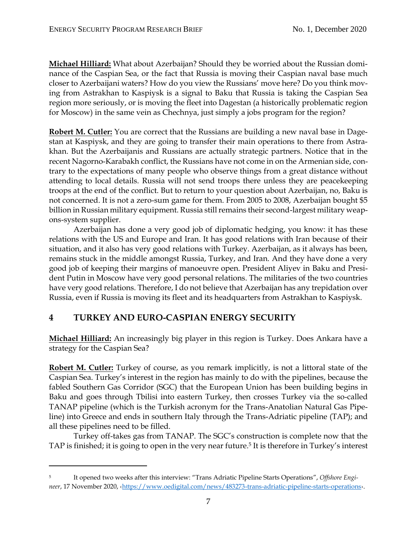**Michael Hilliard:** What about Azerbaijan? Should they be worried about the Russian dominance of the Caspian Sea, or the fact that Russia is moving their Caspian naval base much closer to Azerbaijani waters? How do you view the Russians' move here? Do you think moving from Astrakhan to Kaspiysk is a signal to Baku that Russia is taking the Caspian Sea region more seriously, or is moving the fleet into Dagestan (a historically problematic region for Moscow) in the same vein as Chechnya, just simply a jobs program for the region?

**Robert M. Cutler:** You are correct that the Russians are building a new naval base in Dagestan at Kaspiysk, and they are going to transfer their main operations to there from Astrakhan. But the Azerbaijanis and Russians are actually strategic partners. Notice that in the recent Nagorno-Karabakh conflict, the Russians have not come in on the Armenian side, contrary to the expectations of many people who observe things from a great distance without attending to local details. Russia will not send troops there unless they are peacekeeping troops at the end of the conflict. But to return to your question about Azerbaijan, no, Baku is not concerned. It is not a zero-sum game for them. From 2005 to 2008, Azerbaijan bought \$5 billion in Russian military equipment. Russia still remains their second-largest military weapons-system supplier.

Azerbaijan has done a very good job of diplomatic hedging, you know: it has these relations with the US and Europe and Iran. It has good relations with Iran because of their situation, and it also has very good relations with Turkey. Azerbaijan, as it always has been, remains stuck in the middle amongst Russia, Turkey, and Iran. And they have done a very good job of keeping their margins of manoeuvre open. President Aliyev in Baku and President Putin in Moscow have very good personal relations. The militaries of the two countries have very good relations. Therefore, I do not believe that Azerbaijan has any trepidation over Russia, even if Russia is moving its fleet and its headquarters from Astrakhan to Kaspiysk.

#### **4 TURKEY AND EURO-CASPIAN ENERGY SECURITY**

**Michael Hilliard:** An increasingly big player in this region is Turkey. Does Ankara have a strategy for the Caspian Sea?

**Robert M. Cutler:** Turkey of course, as you remark implicitly, is not a littoral state of the Caspian Sea. Turkey's interest in the region has mainly to do with the pipelines, because the fabled Southern Gas Corridor (SGC) that the European Union has been building begins in Baku and goes through Tbilisi into eastern Turkey, then crosses Turkey via the so-called TANAP pipeline (which is the Turkish acronym for the Trans-Anatolian Natural Gas Pipeline) into Greece and ends in southern Italy through the Trans-Adriatic pipeline (TAP); and all these pipelines need to be filled.

Turkey off-takes gas from TANAP. The SGC's construction is complete now that the TAP is finished; it is going to open in the very near future.<sup>5</sup> It is therefore in Turkey's interest

<sup>5</sup> It opened two weeks after this interview: "Trans Adriatic Pipeline Starts Operations", *Offshore Engineer*, 17 November 2020, <[https://www.oedigital.com/news/483273-trans-adriatic-pipeline-starts-operations](https://www.oedigital.com/news/483273-trans-adriatic-pipeline-starts-operations#:~:text=Ts)›.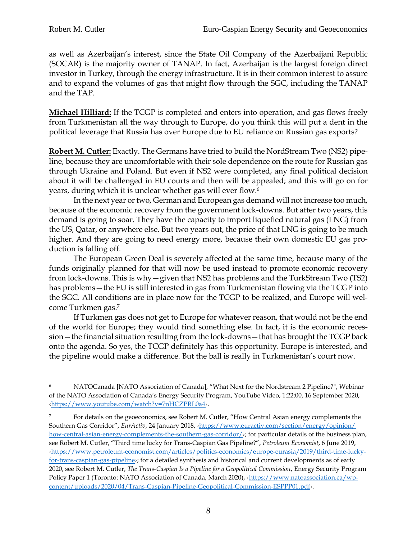as well as Azerbaijan's interest, since the State Oil Company of the Azerbaijani Republic (SOCAR) is the majority owner of TANAP. In fact, Azerbaijan is the largest foreign direct investor in Turkey, through the energy infrastructure. It is in their common interest to assure and to expand the volumes of gas that might flow through the SGC, including the TANAP and the TAP.

**Michael Hilliard:** If the TCGP is completed and enters into operation, and gas flows freely from Turkmenistan all the way through to Europe, do you think this will put a dent in the political leverage that Russia has over Europe due to EU reliance on Russian gas exports?

**Robert M. Cutler:** Exactly. The Germans have tried to build the NordStream Two (NS2) pipeline, because they are uncomfortable with their sole dependence on the route for Russian gas through Ukraine and Poland. But even if NS2 were completed, any final political decision about it will be challenged in EU courts and then will be appealed; and this will go on for years, during which it is unclear whether gas will ever flow.<sup>6</sup>

In the next year or two, German and European gas demand will not increase too much, because of the economic recovery from the government lock-downs. But after two years, this demand is going to soar. They have the capacity to import liquefied natural gas (LNG) from the US, Qatar, or anywhere else. But two years out, the price of that LNG is going to be much higher. And they are going to need energy more, because their own domestic EU gas production is falling off.

The European Green Deal is severely affected at the same time, because many of the funds originally planned for that will now be used instead to promote economic recovery from lock-downs. This is why—given that NS2 has problems and the TurkStream Two (TS2) has problems—the EU is still interested in gas from Turkmenistan flowing via the TCGP into the SGC. All conditions are in place now for the TCGP to be realized, and Europe will welcome Turkmen gas.<sup>7</sup>

If Turkmen gas does not get to Europe for whatever reason, that would not be the end of the world for Europe; they would find something else. In fact, it is the economic recession—the financial situation resulting from the lock-downs—that has brought the TCGP back onto the agenda. So yes, the TCGP definitely has this opportunity. Europe is interested, and the pipeline would make a difference. But the ball is really in Turkmenistan's court now.

NATOCanada [NATO Association of Canada], "What Next for the Nordstream 2 Pipeline?", Webinar of the NATO Association of Canada's Energy Security Program, YouTube Video, 1:22:00, 16 September 2020, ‹<https://www.youtube.com/watch?v=7nHCZPRL0a4>›.

<sup>&</sup>lt;sup>7</sup> For details on the geoeconomics, see Robert M. Cutler, "How Central Asian energy complements the Southern Gas Corridor", *EurActiv*, 24 January 2018, ‹[https://www.euractiv.com/section/energy/opinion/](https://www.euractiv.com/section/energy/opinion/how-central-asian-energy-complements-the-southern-gas-corridor/) [how-central-asian-energy-complements-the-southern-gas-corridor/](https://www.euractiv.com/section/energy/opinion/how-central-asian-energy-complements-the-southern-gas-corridor/) $\cdot$ ; for particular details of the business plan, see Robert M. Cutler, "Third time lucky for Trans-Caspian Gas Pipeline?", *Petroleum Economist*, 6 June 2019, ‹[https://www.petroleum-economist.com/articles/politics-economics/europe-eurasia/2019/third-time-lucky](https://www.petroleum-economist.com/articles/politics-economics/europe-eurasia/2019/third-time-lucky-for-trans-caspian-gas-pipeline)[for-trans-caspian-gas-pipeline](https://www.petroleum-economist.com/articles/politics-economics/europe-eurasia/2019/third-time-lucky-for-trans-caspian-gas-pipeline)>; for a detailed synthesis and historical and current developments as of early 2020, see Robert M. Cutler, *The Trans-Caspian Is a Pipeline for a Geopolitical Commission*, Energy Security Program Policy Paper 1 (Toronto: NATO Association of Canada, March 2020), ‹[https://www.natoassociation.ca/wp](https://www.natoassociation.ca/wp-content/uploads/2020/04/Trans-Caspian-Pipeline-Geopolitical-Commission-ESPPP01.pdf)[content/uploads/2020/04/Trans-Caspian-Pipeline-Geopolitical-Commission-ESPPP01.pdf](https://www.natoassociation.ca/wp-content/uploads/2020/04/Trans-Caspian-Pipeline-Geopolitical-Commission-ESPPP01.pdf)›.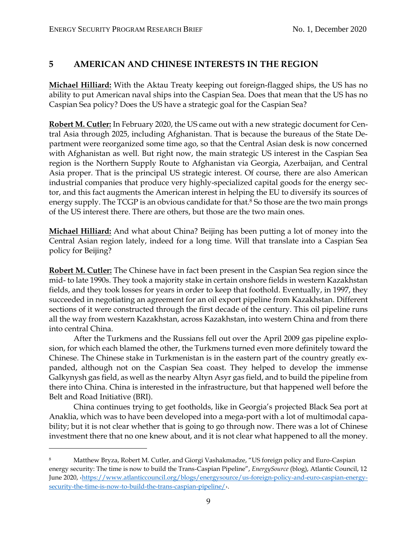#### **5 AMERICAN AND CHINESE INTERESTS IN THE REGION**

**Michael Hilliard:** With the Aktau Treaty keeping out foreign-flagged ships, the US has no ability to put American naval ships into the Caspian Sea. Does that mean that the US has no Caspian Sea policy? Does the US have a strategic goal for the Caspian Sea?

**Robert M. Cutler:** In February 2020, the US came out with a new strategic document for Central Asia through 2025, including Afghanistan. That is because the bureaus of the State Department were reorganized some time ago, so that the Central Asian desk is now concerned with Afghanistan as well. But right now, the main strategic US interest in the Caspian Sea region is the Northern Supply Route to Afghanistan via Georgia, Azerbaijan, and Central Asia proper. That is the principal US strategic interest. Of course, there are also American industrial companies that produce very highly-specialized capital goods for the energy sector, and this fact augments the American interest in helping the EU to diversify its sources of energy supply. The TCGP is an obvious candidate for that.<sup>8</sup> So those are the two main prongs of the US interest there. There are others, but those are the two main ones.

**Michael Hilliard:** And what about China? Beijing has been putting a lot of money into the Central Asian region lately, indeed for a long time. Will that translate into a Caspian Sea policy for Beijing?

**Robert M. Cutler:** The Chinese have in fact been present in the Caspian Sea region since the mid- to late 1990s. They took a majority stake in certain onshore fields in western Kazakhstan fields, and they took losses for years in order to keep that foothold. Eventually, in 1997, they succeeded in negotiating an agreement for an oil export pipeline from Kazakhstan. Different sections of it were constructed through the first decade of the century. This oil pipeline runs all the way from western Kazakhstan, across Kazakhstan, into western China and from there into central China.

After the Turkmens and the Russians fell out over the April 2009 gas pipeline explosion, for which each blamed the other, the Turkmens turned even more definitely toward the Chinese. The Chinese stake in Turkmenistan is in the eastern part of the country greatly expanded, although not on the Caspian Sea coast. They helped to develop the immense Galkynysh gas field, as well as the nearby Altyn Asyr gas field, and to build the pipeline from there into China. China is interested in the infrastructure, but that happened well before the Belt and Road Initiative (BRI).

China continues trying to get footholds, like in Georgia's projected Black Sea port at Anaklia, which was to have been developed into a mega-port with a lot of multimodal capability; but it is not clear whether that is going to go through now. There was a lot of Chinese investment there that no one knew about, and it is not clear what happened to all the money.

<sup>&</sup>lt;sup>8</sup> Matthew Bryza, Robert M. Cutler, and Giorgi Vashakmadze, "US foreign policy and Euro-Caspian energy security: The time is now to build the Trans-Caspian Pipeline", *EnergySource* (blog), Atlantic Council, 12 June 2020, ‹[https://www.atlanticcouncil.org/blogs/energysource/us-foreign-policy-and-euro-caspian-energy](https://www.atlanticcouncil.org/blogs/energysource/us-foreign-policy-and-euro-caspian-energy-security-the-time-is-now-to-build-the-trans-caspian-pipeline/)[security-the-time-is-now-to-build-the-trans-caspian-pipeline/](https://www.atlanticcouncil.org/blogs/energysource/us-foreign-policy-and-euro-caspian-energy-security-the-time-is-now-to-build-the-trans-caspian-pipeline/)›.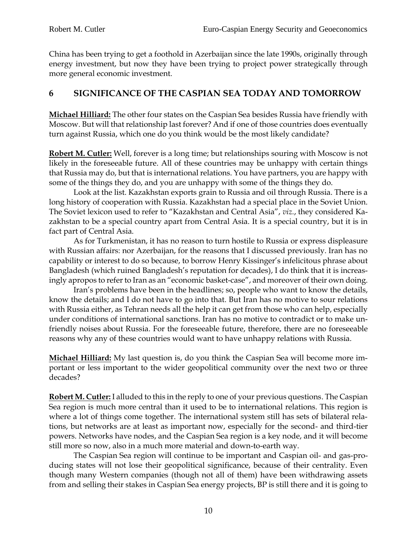China has been trying to get a foothold in Azerbaijan since the late 1990s, originally through energy investment, but now they have been trying to project power strategically through more general economic investment.

#### **6 SIGNIFICANCE OF THE CASPIAN SEA TODAY AND TOMORROW**

**Michael Hilliard:** The other four states on the Caspian Sea besides Russia have friendly with Moscow. But will that relationship last forever? And if one of those countries does eventually turn against Russia, which one do you think would be the most likely candidate?

**Robert M. Cutler:** Well, forever is a long time; but relationships souring with Moscow is not likely in the foreseeable future. All of these countries may be unhappy with certain things that Russia may do, but that is international relations. You have partners, you are happy with some of the things they do, and you are unhappy with some of the things they do.

Look at the list. Kazakhstan exports grain to Russia and oil through Russia. There is a long history of cooperation with Russia. Kazakhstan had a special place in the Soviet Union. The Soviet lexicon used to refer to "Kazakhstan and Central Asia", *viz.*, they considered Kazakhstan to be a special country apart from Central Asia. It is a special country, but it is in fact part of Central Asia.

As for Turkmenistan, it has no reason to turn hostile to Russia or express displeasure with Russian affairs: nor Azerbaijan, for the reasons that I discussed previously. Iran has no capability or interest to do so because, to borrow Henry Kissinger's infelicitous phrase about Bangladesh (which ruined Bangladesh's reputation for decades), I do think that it is increasingly apropos to refer to Iran as an "economic basket-case", and moreover of their own doing.

Iran's problems have been in the headlines; so, people who want to know the details, know the details; and I do not have to go into that. But Iran has no motive to sour relations with Russia either, as Tehran needs all the help it can get from those who can help, especially under conditions of international sanctions. Iran has no motive to contradict or to make unfriendly noises about Russia. For the foreseeable future, therefore, there are no foreseeable reasons why any of these countries would want to have unhappy relations with Russia.

**Michael Hilliard:** My last question is, do you think the Caspian Sea will become more important or less important to the wider geopolitical community over the next two or three decades?

**Robert M. Cutler:** I alluded to this in the reply to one of your previous questions. The Caspian Sea region is much more central than it used to be to international relations. This region is where a lot of things come together. The international system still has sets of bilateral relations, but networks are at least as important now, especially for the second- and third-tier powers. Networks have nodes, and the Caspian Sea region is a key node, and it will become still more so now, also in a much more material and down-to-earth way.

The Caspian Sea region will continue to be important and Caspian oil- and gas-producing states will not lose their geopolitical significance, because of their centrality. Even though many Western companies (though not all of them) have been withdrawing assets from and selling their stakes in Caspian Sea energy projects, BP is still there and it is going to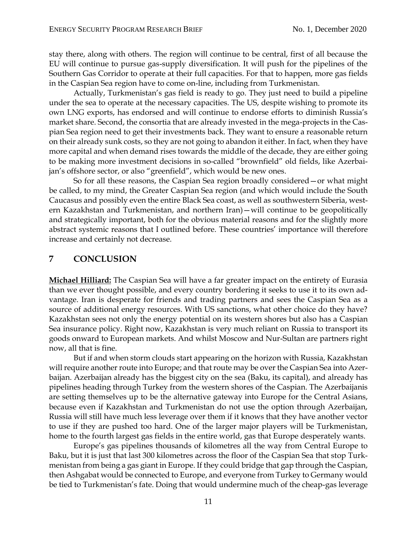stay there, along with others. The region will continue to be central, first of all because the EU will continue to pursue gas-supply diversification. It will push for the pipelines of the Southern Gas Corridor to operate at their full capacities. For that to happen, more gas fields in the Caspian Sea region have to come on-line, including from Turkmenistan.

Actually, Turkmenistan's gas field is ready to go. They just need to build a pipeline under the sea to operate at the necessary capacities. The US, despite wishing to promote its own LNG exports, has endorsed and will continue to endorse efforts to diminish Russia's market share. Second, the consortia that are already invested in the mega-projects in the Caspian Sea region need to get their investments back. They want to ensure a reasonable return on their already sunk costs, so they are not going to abandon it either. In fact, when they have more capital and when demand rises towards the middle of the decade, they are either going to be making more investment decisions in so-called "brownfield" old fields, like Azerbaijan's offshore sector, or also "greenfield", which would be new ones.

So for all these reasons, the Caspian Sea region broadly considered—or what might be called, to my mind, the Greater Caspian Sea region (and which would include the South Caucasus and possibly even the entire Black Sea coast, as well as southwestern Siberia, western Kazakhstan and Turkmenistan, and northern Iran)—will continue to be geopolitically and strategically important, both for the obvious material reasons and for the slightly more abstract systemic reasons that I outlined before. These countries' importance will therefore increase and certainly not decrease.

#### **7 CONCLUSION**

**Michael Hilliard:** The Caspian Sea will have a far greater impact on the entirety of Eurasia than we ever thought possible, and every country bordering it seeks to use it to its own advantage. Iran is desperate for friends and trading partners and sees the Caspian Sea as a source of additional energy resources. With US sanctions, what other choice do they have? Kazakhstan sees not only the energy potential on its western shores but also has a Caspian Sea insurance policy. Right now, Kazakhstan is very much reliant on Russia to transport its goods onward to European markets. And whilst Moscow and Nur-Sultan are partners right now, all that is fine.

But if and when storm clouds start appearing on the horizon with Russia, Kazakhstan will require another route into Europe; and that route may be over the Caspian Sea into Azerbaijan. Azerbaijan already has the biggest city on the sea (Baku, its capital), and already has pipelines heading through Turkey from the western shores of the Caspian. The Azerbaijanis are setting themselves up to be the alternative gateway into Europe for the Central Asians, because even if Kazakhstan and Turkmenistan do not use the option through Azerbaijan, Russia will still have much less leverage over them if it knows that they have another vector to use if they are pushed too hard. One of the larger major players will be Turkmenistan, home to the fourth largest gas fields in the entire world, gas that Europe desperately wants.

Europe's gas pipelines thousands of kilometres all the way from Central Europe to Baku, but it is just that last 300 kilometres across the floor of the Caspian Sea that stop Turkmenistan from being a gas giant in Europe. If they could bridge that gap through the Caspian, then Ashgabat would be connected to Europe, and everyone from Turkey to Germany would be tied to Turkmenistan's fate. Doing that would undermine much of the cheap-gas leverage